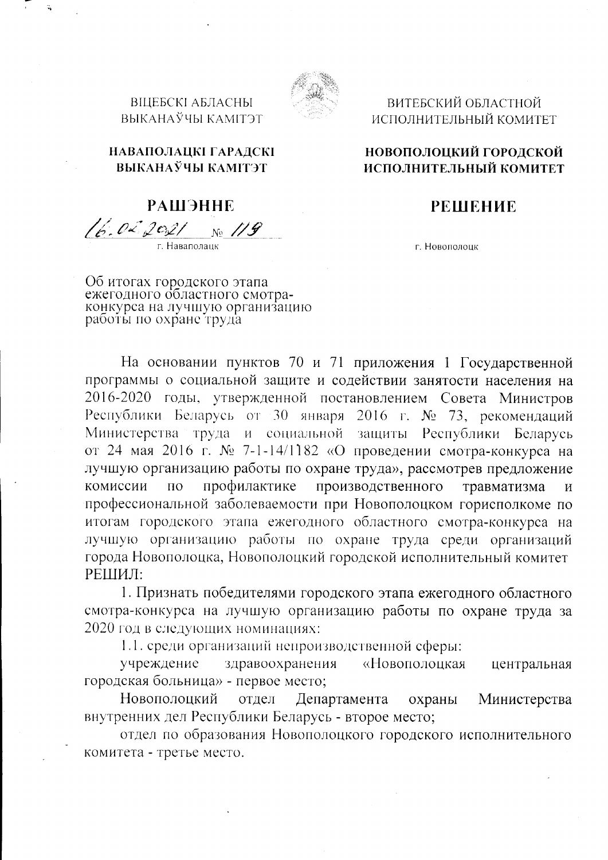ВИТЕБСКИЙ ОБЛАСТНОЙ ИСПОЛНИТЕЛЬНЫЙ КОМИТЕТ

## НОВОПОЛОЦКИЙ ГОРОДСКОЙ ИСПОЛНИТЕЛЬНЫЙ КОМИТЕТ

## **РЕШЕНИЕ**

г. Новополоцк

НАВАПОЛАЦКІ ГАРАДСКІ ВЫКАНАЎЧЫ КАМІТЭТ

**ВІЦЕБСКІ АБЛАСНЫ** ВЫКАНАЎЧЫ КАМІТЭТ

**РАШЭННЕ** 16.02.2021 No. 119

Об итогах городского этапа<br>ежегодного областного смотра-<br>конкурса на лучшую организацию<br>работы по охране труда

На основании пунктов 70 и 71 приложения 1 Государственной программы о социальной защите и содействии занятости населения на 2016-2020 годы, утвержденной постановлением Совета Министров Республики Беларусь от 30 января 2016 г. № 73, рекомендаций Министерства труда и социальной защиты Республики Беларусь от 24 мая 2016 г. № 7-1-14/1182 «О проведении смотра-конкурса на лучшую организацию работы по охране труда», рассмотрев предложение производственного профилактике травматизма комиссии  $\overline{10}$  $\mathbf{M}$ профессиональной заболеваемости при Новополоцком горисполкоме по итогам городского этапа ежегодного областного смотра-конкурса на лучшую организацию работы по охране труда среди организаций города Новополоцка, Новополоцкий городской исполнительный комитет РЕШИЛ:

1. Признать победителями городского этапа ежегодного областного смотра-конкурса на лучшую организацию работы по охране труда за 2020 год в следующих номинациях:

1.1. среди организаций непроизводственной сферы:

здравоохранения учреждение «Новополоцкая центральная городская больница» - первое место;

Новополоцкий отдел Департамента охраны Министерства внутренних дел Республики Беларусь - второе место;

отдел по образования Новополоцкого городского исполнительного комитета - третье место.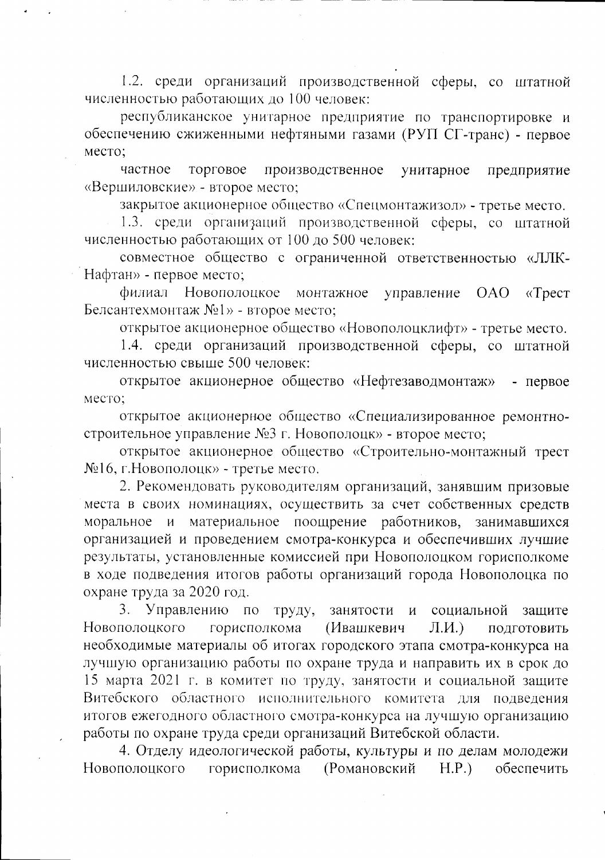1.2. среди организаций производственной сферы, со штатной численностью работающих до 100 человек:

республиканское унитарное предприятие по транспортировке и обеспечению сжиженными нефтяными газами (РУП СГ-транс) - первое место:

торговое частное производственное унитарное предприятие «Вершиловские» - второе место;

закрытое акционерное общество «Спецмонтажизол» - третье место.

1.3. среди организаций производственной сферы, со штатной численностью работающих от 100 до 500 человек:

совместное общество с ограниченной ответственностью «ЛЛК-Нафтан» - первое место;

Новополоцкое филиал монтажное управление OAO  $\langle$ Tpec $\tau$ Белсантехмонтаж №1» - второе место;

открытое акционерное общество «Новополоцклифт» - третье место.

1.4. среди организаций производственной сферы, со штатной численностью свыше 500 человек:

открытое акционерное общество «Нефтезаводмонтаж» - первое место;

открытое акционерное общество «Специализированное ремонтностроительное управление №3 г. Новополоцк» - второе место;

открытое акционерное общество «Строительно-монтажный трест №16, г.Новополоцк» - третье место.

2. Рекомендовать руководителям организаций, занявшим призовые места в своих номинациях, осуществить за счет собственных средств моральное и материальное поощрение работников, занимавшихся организацией и проведением смотра-конкурса и обеспечивших лучшие результаты, установленные комиссией при Новополоцком горисполкоме в ходе подведения итогов работы организаций города Новополоцка по охране труда за 2020 год.

3. Управлению по труду, занятости  $\mathbf{M}$ социальной зашите горисполкома Новополоцкого (Ивашкевич  $J.H.$ ПОДГОТОВИТЬ необходимые материалы об итогах городского этапа смотра-конкурса на лучшую организацию работы по охране труда и направить их в срок до 15 марта 2021 г. в комитет по труду, занятости и социальной защите Витебского областного исполнительного комитета для подведения итогов ежегодного областного смотра-конкурса на лучшую организацию работы по охране труда среди организаций Витебской области.

4. Отделу идеологической работы, культуры и по делам молодежи горисполкома (Романовский Новополоцкого  $H.P.)$ обеспечить